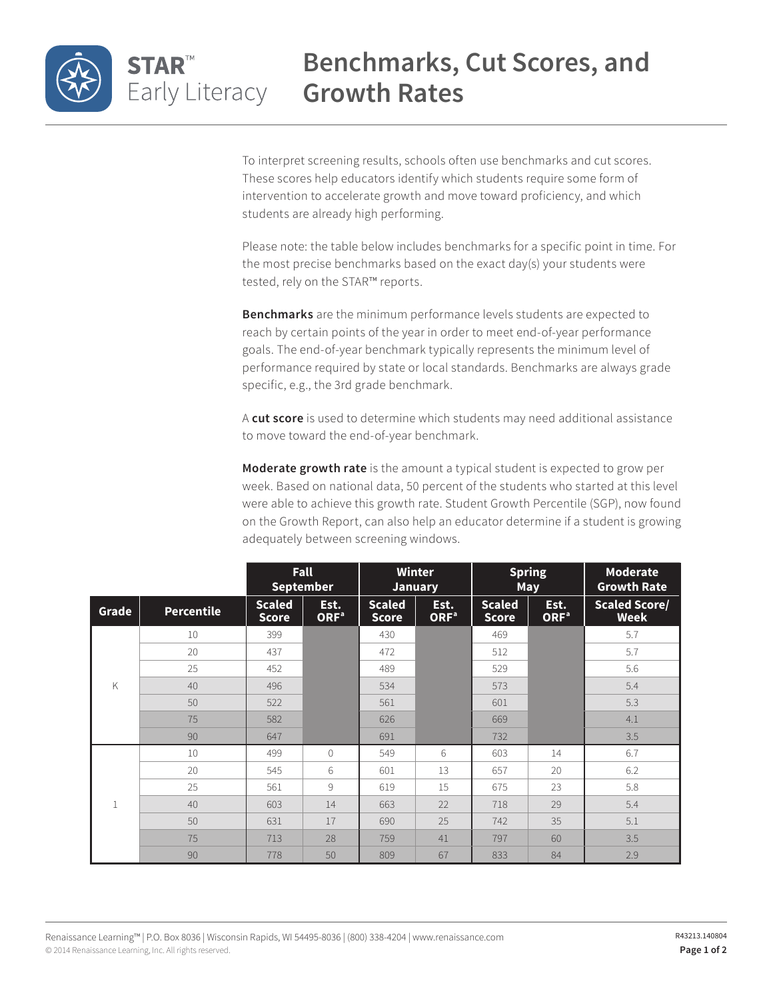

## **Benchmarks, Cut Scores, and**  Early Literacy **Growth Rates**

To interpret screening results, schools often use benchmarks and cut scores. These scores help educators identify which students require some form of intervention to accelerate growth and move toward proficiency, and which students are already high performing.

Please note: the table below includes benchmarks for a specific point in time. For the most precise benchmarks based on the exact day(s) your students were tested, rely on the STAR™ reports.

**Benchmarks** are the minimum performance levels students are expected to reach by certain points of the year in order to meet end-of-year performance goals. The end-of-year benchmark typically represents the minimum level of performance required by state or local standards. Benchmarks are always grade specific, e.g., the 3rd grade benchmark.

A **cut score** is used to determine which students may need additional assistance to move toward the end-of-year benchmark.

**Moderate growth rate** is the amount a typical student is expected to grow per week. Based on national data, 50 percent of the students who started at this level were able to achieve this growth rate. Student Growth Percentile (SGP), now found on the Growth Report, can also help an educator determine if a student is growing adequately between screening windows.

|             |                   | Fall<br><b>September</b>      |                          | Winter<br><b>January</b>      |                          | <b>Spring</b><br>May          |                          | <b>Moderate</b><br><b>Growth Rate</b> |
|-------------|-------------------|-------------------------------|--------------------------|-------------------------------|--------------------------|-------------------------------|--------------------------|---------------------------------------|
| Grade       | <b>Percentile</b> | <b>Scaled</b><br><b>Score</b> | Est.<br>ORF <sup>a</sup> | <b>Scaled</b><br><b>Score</b> | Est.<br>ORF <sup>a</sup> | <b>Scaled</b><br><b>Score</b> | Est.<br>ORF <sup>ª</sup> | <b>Scaled Score/</b><br><b>Week</b>   |
| K           | 10                | 399                           |                          | 430                           |                          | 469                           |                          | 5.7                                   |
|             | 20                | 437                           |                          | 472                           |                          | 512                           |                          | 5.7                                   |
|             | 25                | 452                           |                          | 489                           |                          | 529                           |                          | 5.6                                   |
|             | 40                | 496                           |                          | 534                           |                          | 573                           |                          | 5.4                                   |
|             | 50                | 522                           |                          | 561                           |                          | 601                           |                          | 5.3                                   |
|             | 75                | 582                           |                          | 626                           |                          | 669                           |                          | 4.1                                   |
|             | 90                | 647                           |                          | 691                           |                          | 732                           |                          | 3.5                                   |
| $\mathbf 1$ | 10                | 499                           | $\circ$                  | 549                           | 6                        | 603                           | 14                       | 6.7                                   |
|             | 20                | 545                           | 6                        | 601                           | 13                       | 657                           | 20                       | 6.2                                   |
|             | 25                | 561                           | 9                        | 619                           | 15                       | 675                           | 23                       | 5.8                                   |
|             | 40                | 603                           | 14                       | 663                           | 22                       | 718                           | 29                       | 5.4                                   |
|             | 50                | 631                           | 17                       | 690                           | 25                       | 742                           | 35                       | 5.1                                   |
|             | 75                | 713                           | 28                       | 759                           | 41                       | 797                           | 60                       | 3.5                                   |
|             | 90                | 778                           | 50                       | 809                           | 67                       | 833                           | 84                       | 2.9                                   |